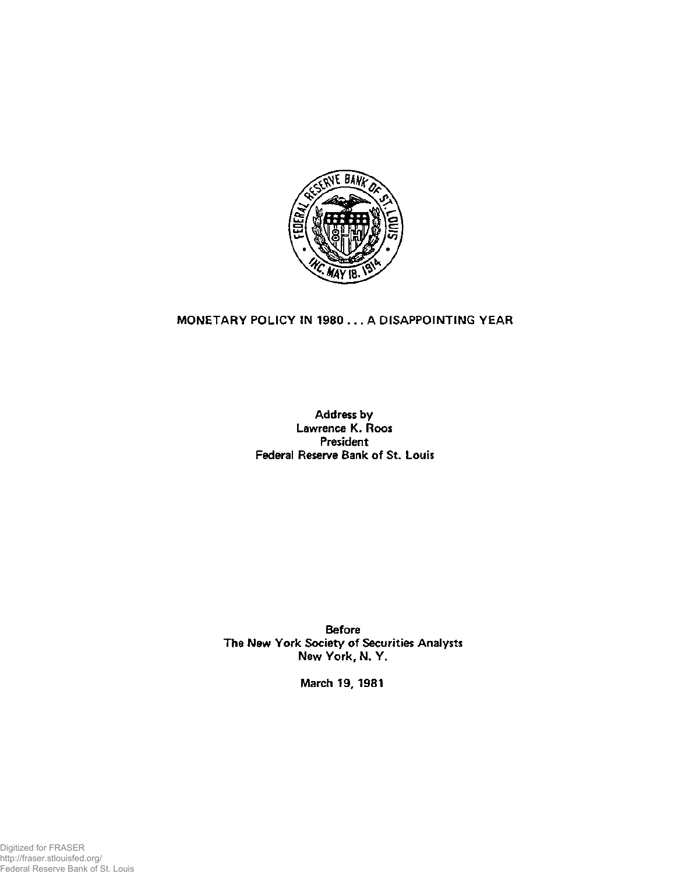

## **MONETARY POLICY IN 1980 .. . A DISAPPOINTING YEAR**

**Address by Lawrence K. Roos President Federal Reserve Bank of St. Louis** 

**Before The New York Society of Securities Analysts New York, N. Y.** 

**March 19, 1981** 

Digitized for FRASER http://fraser.stlouisfed.org/ Federal Reserve Bank of St. Louis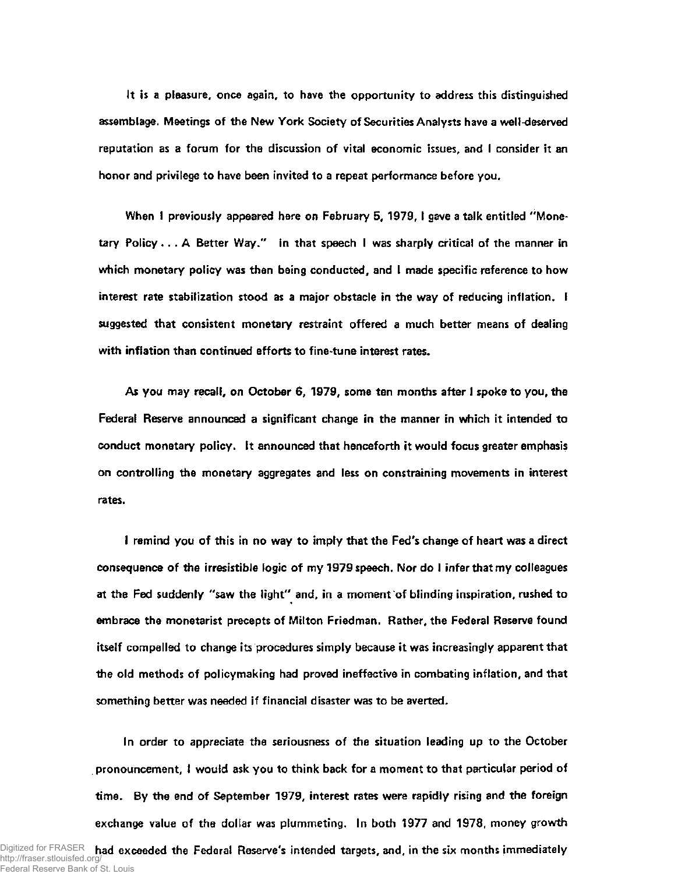**It is a pleasure, once again, to have the opportunity to address this distinguished assemblage. Meetings of the New York Society of Securities Analysts have a well-deserved reputation as a forum for the discussion of vital economic issues, and I consider it an honor and privilege to have been invited to a repeat performance before you.** 

**When I previously appeared here on February 5, 1979, I gave a talk entitled "Monetary Policy... A Better Way." In that speech I was sharply critical of the manner in which monetary policy was then being conducted, and I made specific reference to how interest rate stabilization stood as a major obstacle in the way of reducing inflation. I suggested that consistent monetary restraint offered a much better means of dealing with inflation than continued efforts to fine-tune interest rates.** 

**As you may recall, on October 6, 1979, some ten months after I spoke to you, the Federal Reserve announced a significant change in the manner in which it intended to conduct monetary policy. It announced that henceforth it would focus greater emphasis on controlling the monetary aggregates and less on constraining movements in interest rates.** 

**I remind you of this in no way to imply that the Fed's change of heart was a direct consequence of the irresistible logic of my 1979 speech. Nor do I infer that my colleagues at the Fed suddenly "saw the light" and, in a moment of blinding inspiration, rushed to embrace the monetarist precepts of Milton Friedman. Rather, the Federal Reserve found itself compelled to change its procedures simply because it was increasingly apparent that the old methods of policymaking had proved ineffective in combating inflation, and that something better was needed if financial disaster was to be averted.** 

**In order to appreciate the seriousness of the situation leading up to the October pronouncement, I would ask you to think back for a moment to that particular period of time. By the end of September 1979, interest rates were rapidly rising and the foreign exchange value of the dollar was plummeting. In both 1977 and 1978, money growth** 

Digitized for FRASER had exceeded the Federal Reserve's intended targets, and, in the six months immediately http://fraser.stlouisfed.org/ Federal Reserve Bank of St. Louis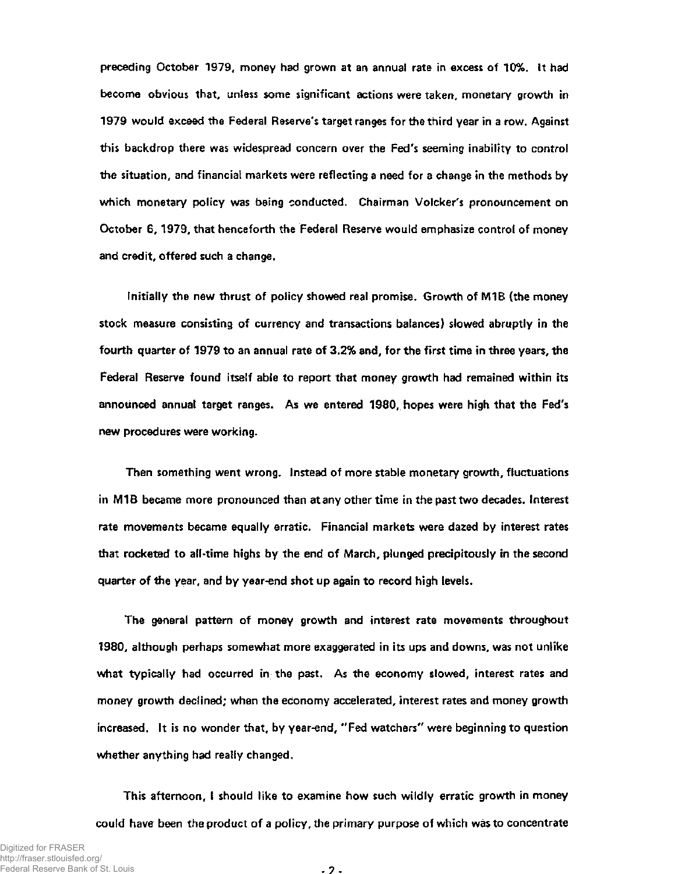**preceding October 1979, money had grown at an annual rate in excess of 10%. It had become obvious that, unless some significant actions were taken, monetary growth in 1979 would exceed the Federal Reserve's target ranges for the third year in a row. Against this backdrop there was widespread concern over the Fed's seeming inability to control the situation, and financial markets were reflecting a need for a change in the methods by which monetary policy was being conducted. Chairman Volcker's pronouncement on October 6, 1979, that henceforth the Federal Reserve would emphasize control of money and credit, offered such a change.** 

**Initially the new thrust of policy showed real promise. Growth of M1B (the money stock measure consisting of currency and transactions balances) slowed abruptly in the fourth quarter of 1979 to an annual rate of 3.2% and, for the first time in three years, the Federal Reserve found itself able to report that money growth had remained within its announced annual target ranges. As we entered 1980, hopes were high that the Fed's new procedures were working.** 

**Then something went wrong. Instead of more stable monetary growth, fluctuations in M1B became more pronounced than at any other time in the past two decades. Interest rate movements became equally erratic. Financial markets were dazed by interest rates that rocketed to all-time highs by the end of March, plunged precipitously in the second quarter of the year, and by year-end shot up again to record high levels.** 

**The general pattern of money growth and interest rate movements throughout 1980, although perhaps somewhat more exaggerated in its ups and downs, was not unlike what typically had occurred in the past. As the economy slowed, interest rates and money growth declined; when the economy accelerated, interest rates and money growth increased. It is no wonder that, by year-end, "Fed watchers" were beginning to question whether anything had really changed.** 

**This afternoon, I should like to examine how such wildly erratic growth in money could have been the product of a policy, the primary purpose of which was to concentrate** 

**- 2 -**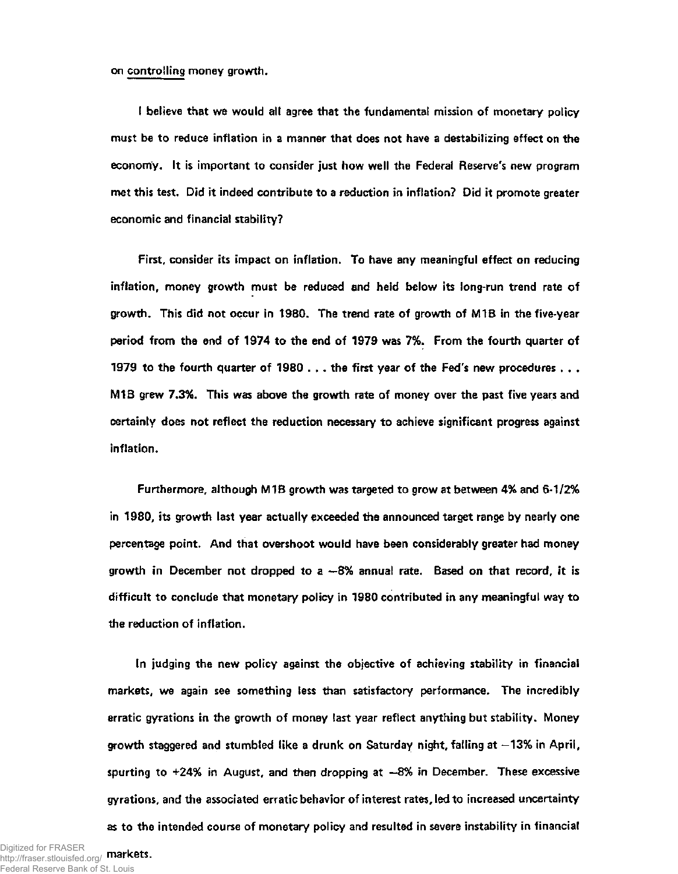**on controlling money growth.** 

**I believe that we would all agree that the fundamental mission of monetary policy must be to reduce inflation in a manner that does not have a destabilizing effect on the economy. It is important to consider just how well the Federal Reserve's new program met this test. Did it indeed contribute to a reduction in inflation? Did it promote greater economic and financial stability?** 

**First, consider its impact on inflation. To have any meaningful effect on reducing inflation, money growth must be reduced and held below its long-run trend rate of growth. This did not occur in 1980. The trend rate of growth of M1B in the five-year period from the end of 1974 to the end of 1979 was 7%. From the fourth quarter of 1979 to the fourth quarter of 1980 .. . the first year of the Fed's new procedures . . . M1B grew 7.3%. This was above the growth rate of money over the past five years and certainly does not reflect the reduction necessary to achieve significant progress against inflation.** 

**Furthermore, although M1B growth was targeted to grow at between 4% and 6-1/2% in 1980, its growth last year actually exceeded the announced target range by nearly one percentage point. And that overshoot would have been considerably greater had money growth in December not dropped to a —8% annual rate. Based on that record, it is difficult to conclude that monetary policy in 1980 contributed in any meaningful way to the reduction of inflation.** 

**In judging the new policy against the objective of achieving stability in financial markets, we again see something less than satisfactory performance. The incredibly erratic gyrations in the growth of money last year reflect anything but stability. Money growth staggered and stumbled like a drunk on Saturday night, falling at —13% in April, spurting to +24% in August, and then dropping at —8% in December. These excessive gyrations, and the associated erratic behavior of interest rates, led to increased uncertainty as to the intended course of monetary policy and resulted in severe instability in financial**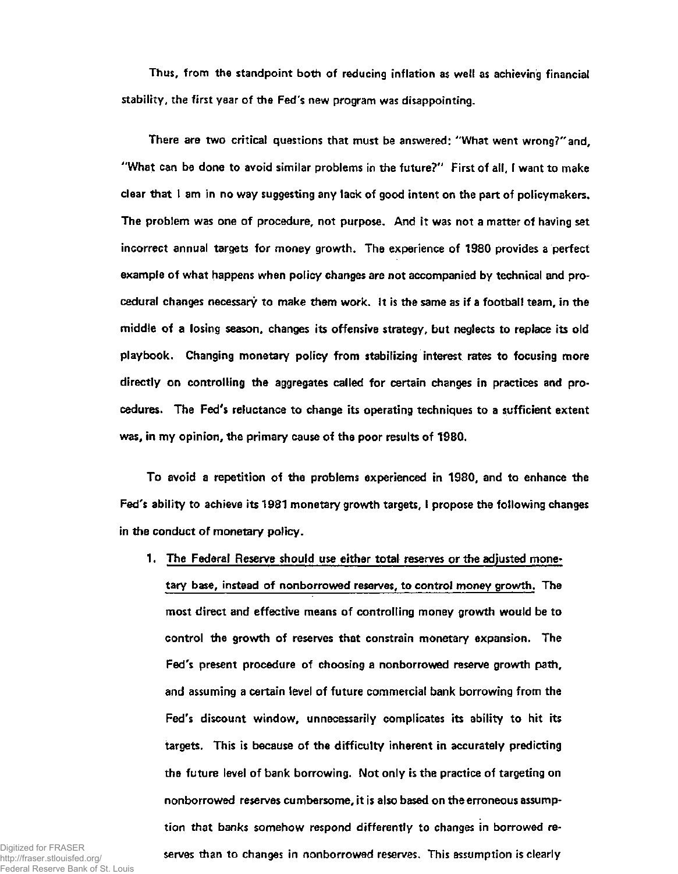**Thus, from the standpoint both of reducing inflation as well as achieving financial stability, the first year of the Fed's new program was disappointing.** 

**There are two critical questions that must be answered: "What went wrong?"and, "What can be done to avoid similar problems in the future?" First of all, I want to make clear that I am in no way suggesting any lack of good intent on the part of policymakers. The problem was one of procedure, not purpose. And it was not a matter of having set incorrect annual targets for money growth. The experience of 1980 provides a perfect example of what happens when policy changes are not accompanied by technical and procedural changes necessary to make them work. It is the same as if a football team, in the middle of a losing season, changes its offensive strategy, but neglects to replace its old playbook. Changing monetary policy from stabilizing interest rates to focusing more directly on controlling the aggregates called for certain changes in practices and procedures. The Fed's reluctance to change its operating techniques to a sufficient extent was, in my opinion, the primary cause of the poor results of 1980.** 

**To avoid a repetition of the problems experienced in 1980, and to enhance the Fed's ability to achieve its 1981 monetary growth targets, I propose the following changes in the conduct of monetary policy.** 

**1- The Federal Reserve should use either total reserves or the adjusted monetary base, instead of nonborrowed reserves, to control money growth. The most direct and effective means of controlling money growth would be to control the growth of reserves that constrain monetary expansion. The Fed's present procedure of choosing a nonborrowed reserve growth path, and assuming a certain level of future commercial bank borrowing from the Fed's discount window, unnecessarily complicates its ability to hit its targets. This is because of the difficulty inherent in accurately predicting the future level of bank borrowing. Not only is the practice of targeting on nonborrowed reserves cumbersome, it is also based on the erroneous assumption that banks somehow respond differently to changes in borrowed reserves than to changes in nonborrowed reserves. This assumption is clearly** 

Digitized for FRASER http://fraser.stlouisfed.org/ Federal Reserve Bank of St. Louis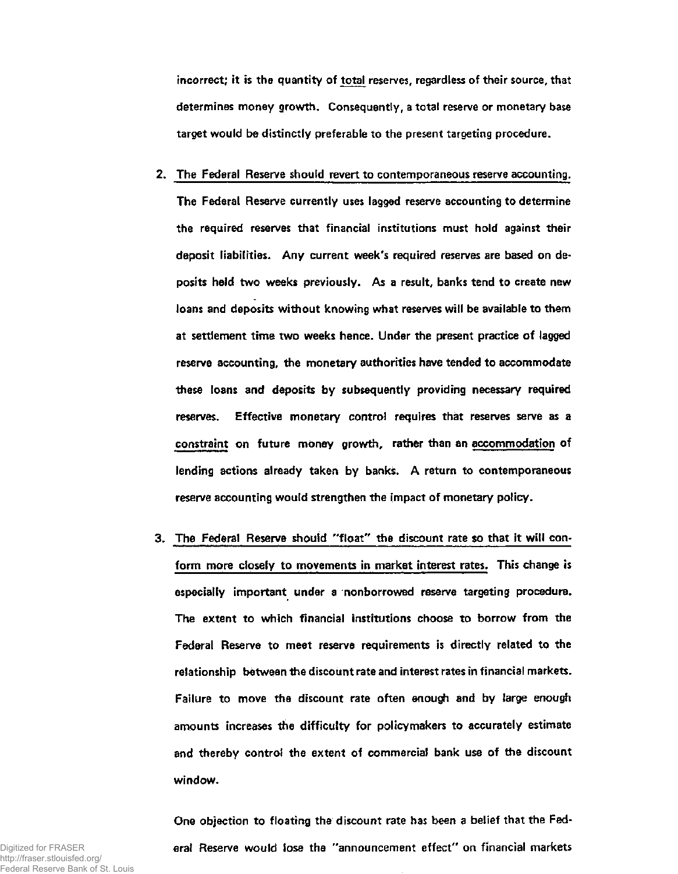**incorrect; it is the quantity of total reserves, regardless of their source, that determines money growth. Consequently, a total reserve or monetary base target would be distinctly preferable to the present targeting procedure.** 

- **2. The Federal Reserve should revert to contemporaneous reserve accounting. The Federal Reserve currently uses lagged reserve accounting to determine the required reserves that financial institutions must hold against their deposit liabilities. Any current week's required reserves are based on deposits held two weeks previously. As a result, banks tend to create new loans and deposits without knowing what reserves will be available to them at settlement time two weeks hence. Under the present practice of lagged reserve accounting, the monetary authorities have tended to accommodate these loans and deposits by subsequently providing necessary required reserves. Effective monetary control requires that reserves serve as a constraint on future money growth, rather than an accommodation of lending actions already taken by banks. A return to contemporaneous reserve accounting would strengthen the impact of monetary policy.**
- **3. The Federal Reserve should "float" the discount rate so that it will conform more closely to movements in market interest rates. This change is especially important under a nonborrowed reserve targeting procedure. The extent to which financial institutions choose to borrow from the Federal Reserve to meet reserve requirements is directly related to the relationship between the discount rate and interest rates in financial markets. Failure to move the discount rate often enough and by large enough amounts increases the difficulty for policymakers to accurately estimate and thereby control the extent of commercial bank use of the discount window.**

**One objection to floating the discount rate has been a belief that the Federal Reserve would lose the "announcement effect" on financial markets**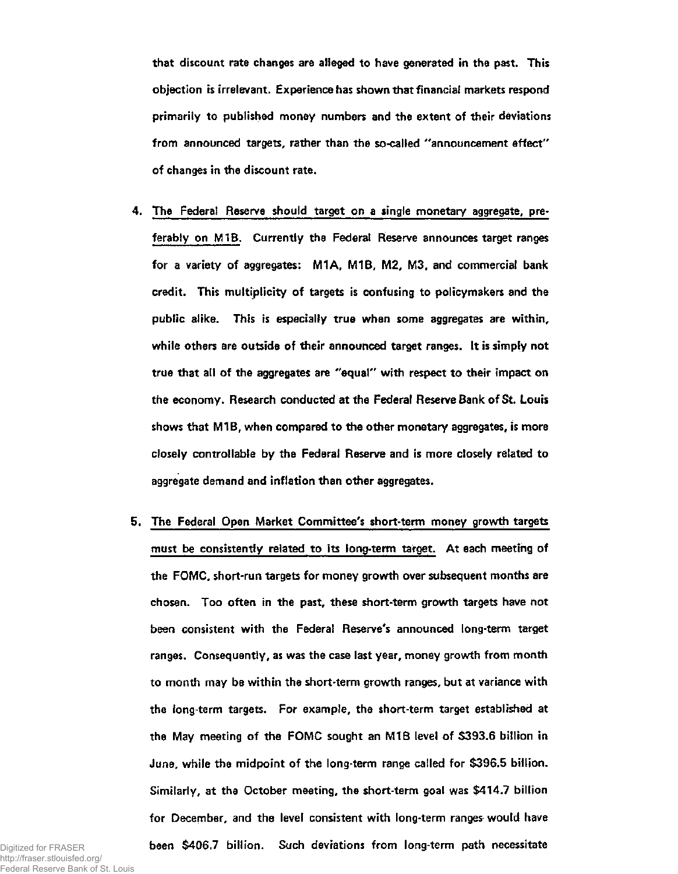**that discount rate changes are alleged to have generated in the past. This objection is irrelevant. Experience has shown that financial markets respond primarily to published money numbers and the extent of their deviations from announced targets, rather than the so-called "announcement effect" of changes in the discount rate.** 

- **4. The Federal Reserve should target on a single monetary aggregate, preferably on M1B. Currently the Federal Reserve announces target ranges for a variety of aggregates: M1A, M1B, M2, M3, and commercial bank credit. This multiplicity of targets is confusing to policymakers and the public alike. This is especially true when some aggregates are within, while others are outside of their announced target ranges. It is simply not true that all of the aggregates are "equal" with respect to their impact on the economy. Research conducted at the Federal Reserve Bank of St. Louis shows that M1B, when compared to the other monetary aggregates, is more closely controllable by the Federal Reserve and is more closely related to aggregate demand and inflation than other aggregates.**
- **5. The Federal Open Market Committee's short-term money growth targets must be consistently related to its long-term target. At each meeting of the FOMC, short-run targets for money growth over subsequent months are chosen. Too often in the past, these short-term growth targets have not been consistent with the Federal Reserve's announced long-term target ranges. Consequently, as was the case last year, money growth from month to month may be within the short-term growth ranges, but at variance with the long-term targets. For example, the short-term target established at the May meeting of the FOMC sought an M1B level of \$393.6 billion in June, while the midpoint of the long-term range called for \$396.5 billion. Similarly, at the October meeting, the short-term goal was \$414.7 billion for December, and the level consistent with long-term ranges would have been \$406.7 billion. Such deviations from long-term path necessitate**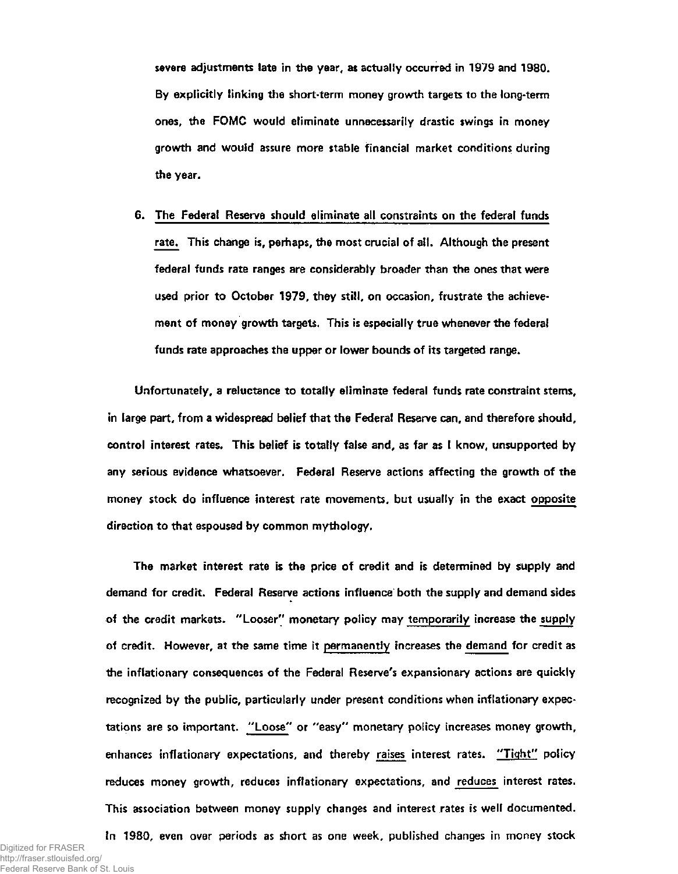**severe adjustments late in the year, as actually occurred in 1979 and 1980. By explicitly linking the short-term money growth targets to the long-term ones, the FOMC would eliminate unnecessarily drastic swings in money growth and would assure more stable financial market conditions during the year.** 

**6. The Federal Reserve should eliminate all constraints on the federal funds rate. This change is, perhaps, the most crucial of all. Although the present federal funds rate ranges are considerably broader than the ones that were used prior to October 1979, they still, on occasion, frustrate the achievement of money growth targets. This is especially true whenever the federal funds rate approaches the upper or lower bounds of its targeted range.** 

**Unfortunately, a reluctance to totally eliminate federal funds rate constraint stems, in large part, from a widespread belief that the Federal Reserve can, and therefore should, control interest rates. This belief is totally false and, as far as I know, unsupported by any serious evidence whatsoever. Federal Reserve actions affecting the growth of the money stock do influence interest rate movements, but usually in the exact opposite direction to that espoused by common mythology.** 

**The market interest rate is the price of credit and is determined by supply and demand for credit. Federal Reserve actions influence both the supply and demand sides of the credit markets. "Looser" monetary policy may temporarily increase the supply of credit. However, at the same time it permanently increases the demand for credit as the inflationary consequences of the Federal Reserve's expansionary actions are quickly recognized by the public, particularly under present conditions when inflationary expectations are so important. "Loose" or "easy" monetary policy increases money growth, enhances inflationary expectations, and thereby raises interest rates. "Tight" policy reduces money growth, reduces inflationary expectations, and reduces interest rates. This association between money supply changes and interest rates is well documented.** 

**In 1980, even over periods as short as one week, published changes in money stock**  Digitized for FRASER http://fraser.stlouisfed.org/ Federal Reserve Bank of St. Louis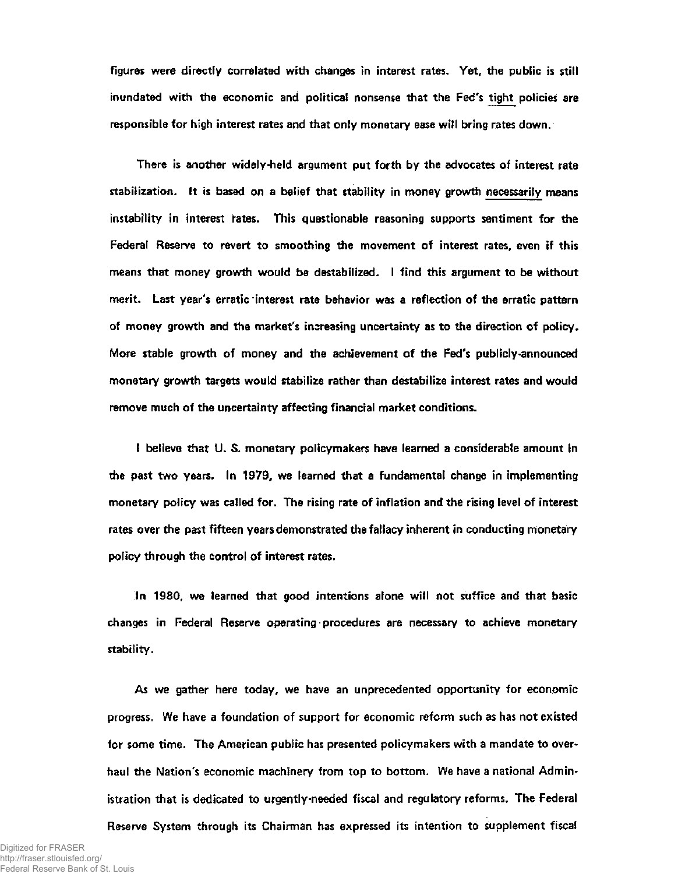**figures were directly correlated with changes in interest rates. Yet, the public is stillinundated with the economic and political nonsense that the Fed's tight policies are responsible for high interest rates and that only monetary ease will bring rates down.** 

**There is another widely-held argument put forth by the advocates of interest rate stabilization. It is based on a belief that stability in money growth necessarily means instability in interest rates. This questionable reasoning supports sentiment for the Federal Reserve to revert to smoothing the movement of interest rates, even if this means that money growth would be destabilized. I find this argument to be without merit. Last year's erratic interest rate behavior was a reflection of the erratic pattern of money growth and the market's increasing uncertainty as to the direction of policy. More stable growth of money and the achievement of the Fed's publicly-announced monetary growth targets would stabilize rather than destabilize interest rates and would remove much of the uncertainty affecting financial market conditions.** 

**I believe that U. S. monetary policymakers have learned a considerable amount in the past two years. In 1979, we learned that a fundamental change in implementing monetary policy was called for. The rising rate of inflation and the rising level of interest rates over the past fifteen years demonstrated the fallacy inherent in conducting monetary policy through the control of interest rates.** 

**In 1980, we learned that good intentions alone will not suffice and that basic changes in Federal Reserve operating procedures are necessary to achieve monetary stability.** 

**As we gather here today, we have an unprecedented opportunity for economic progress. We have a foundation of support for economic reform such as has not existed for some time. The American public has presented policymakers with a mandate to overhaul the Nation's economic machinery from top to bottom. We have a national Administration that is dedicated to urgently-needed fiscal and regulatory reforms. The Federal Reserve System through its Chairman has expressed its intention to supplement fiscal**